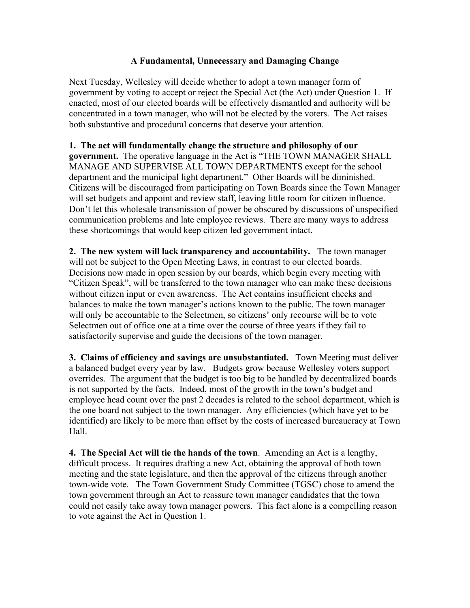## **A Fundamental, Unnecessary and Damaging Change**

Next Tuesday, Wellesley will decide whether to adopt a town manager form of government by voting to accept or reject the Special Act (the Act) under Question 1. If enacted, most of our elected boards will be effectively dismantled and authority will be concentrated in a town manager, who will not be elected by the voters. The Act raises both substantive and procedural concerns that deserve your attention.

**1. The act will fundamentally change the structure and philosophy of our government.** The operative language in the Act is "THE TOWN MANAGER SHALL MANAGE AND SUPERVISE ALL TOWN DEPARTMENTS except for the school department and the municipal light department." Other Boards will be diminished. Citizens will be discouraged from participating on Town Boards since the Town Manager will set budgets and appoint and review staff, leaving little room for citizen influence. Don't let this wholesale transmission of power be obscured by discussions of unspecified communication problems and late employee reviews. There are many ways to address these shortcomings that would keep citizen led government intact.

**2. The new system will lack transparency and accountability.** The town manager will not be subject to the Open Meeting Laws, in contrast to our elected boards. Decisions now made in open session by our boards, which begin every meeting with "Citizen Speak", will be transferred to the town manager who can make these decisions without citizen input or even awareness. The Act contains insufficient checks and balances to make the town manager's actions known to the public. The town manager will only be accountable to the Selectmen, so citizens' only recourse will be to vote Selectmen out of office one at a time over the course of three years if they fail to satisfactorily supervise and guide the decisions of the town manager.

**3. Claims of efficiency and savings are unsubstantiated.** Town Meeting must deliver a balanced budget every year by law. Budgets grow because Wellesley voters support overrides. The argument that the budget is too big to be handled by decentralized boards is not supported by the facts. Indeed, most of the growth in the town's budget and employee head count over the past 2 decades is related to the school department, which is the one board not subject to the town manager. Any efficiencies (which have yet to be identified) are likely to be more than offset by the costs of increased bureaucracy at Town Hall.

**4. The Special Act will tie the hands of the town**. Amending an Act is a lengthy, difficult process. It requires drafting a new Act, obtaining the approval of both town meeting and the state legislature, and then the approval of the citizens through another town-wide vote. The Town Government Study Committee (TGSC) chose to amend the town government through an Act to reassure town manager candidates that the town could not easily take away town manager powers. This fact alone is a compelling reason to vote against the Act in Question 1.